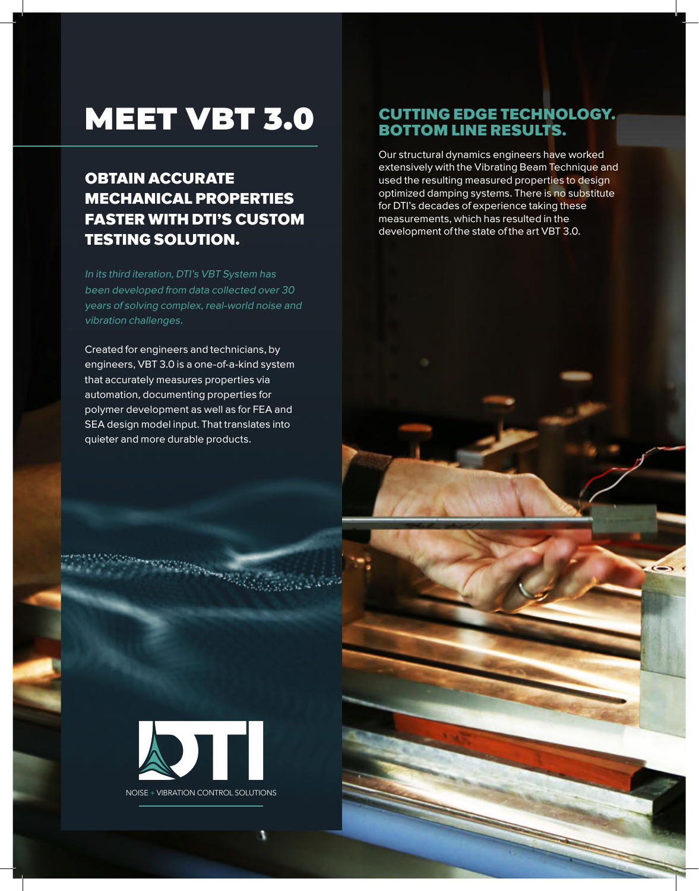# MEET VBT 3.0

## OBTAIN ACCURATE MECHANICAL PROPERTIES FASTER WITH DTI'S CUSTOM TESTING SOLUTION.

In its third iteration, DTI's VBT System has been developed from data collected over 30 years of solving complex, real-world noise and vibration challenges.

Created for engineers and technicians, by engineers, VBT 3.0 is a one-of-a-kind system that accurately measures properties via automation, documenting properties for polymer development as well as for FEA and SEA design model input. That translates into quieter and more durable products.

### CUTTING EDGE TECHNOLOGY. BOTTOM LINE RESULTS.

Our structural dynamics engineers have worked extensively with the Vibrating Beam Technique and used the resulting measured properties to design optimized damping systems. There is no substitute for DTI's decades of experience taking these measurements, which has resulted in the development of the state of the art VBT 3.0.



**Convert Holes** 

NOISE + VIBRATION CONTROL SOLUTIONS